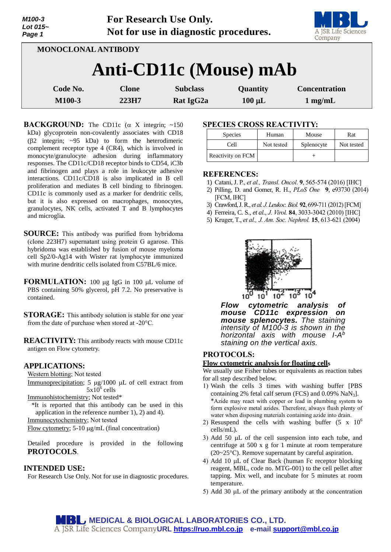| M100-3<br>Lot $015-$<br>Page 1 |              | For Research Use Only.<br>Not for use in diagnostic procedures. |             | A JSR Life Sciences<br>Company |
|--------------------------------|--------------|-----------------------------------------------------------------|-------------|--------------------------------|
| MONOCLONAL ANTIBODY            |              |                                                                 |             |                                |
|                                |              | Anti-CD11c (Mouse) mAb                                          |             |                                |
| Code No.                       | <b>Clone</b> | <b>Subclass</b>                                                 | Quantity    | <b>Concentration</b>           |
| M100-3                         | 223H7        | Rat IgG2a                                                       | $100 \mu L$ | $1 \text{ mg/mL}$              |

**BACKGROUND:** The CD11c  $(\alpha \times X)$  integrin; ~150 kDa) glycoprotein non-covalently associates with CD18 ( $\beta$ 2 integrin;  $\sim$ 95 kDa) to form the heterodimeric complement receptor type 4 (CR4), which is involved in monocyte/granulocyte adhesion during inflammatory responses. The CD11c/CD18 receptor binds to CD54, iC3b and fibrinogen and plays a role in leukocyte adhesive interactions. CD11c/CD18 is also implicated in B cell proliferation and mediates B cell binding to fibrinogen. CD11c is commonly used as a marker for dendritic cells, but it is also expressed on macrophages, monocytes, granulocytes, NK cells, activated T and B lymphocytes and microglia.

- **SOURCE:** This antibody was purified from hybridoma (clone 223H7) supernatant using protein G agarose. This hybridoma was established by fusion of mouse myeloma cell Sp2/0-Ag14 with Wister rat lymphocyte immunized with murine dendritic cells isolated from C57BL/6 mice.
- **FORMULATION:** 100 µg IgG in 100 µL volume of PBS containing 50% glycerol, pH 7.2. No preservative is contained.
- **STORAGE:** This antibody solution is stable for one year from the date of purchase when stored at -20°C.

**REACTIVITY:** This antibody reacts with mouse CD11c antigen on Flow cytometry.

### **APPLICATIONS:**

Western blotting; Not tested

Immunoprecipitation; 5  $\mu$ g/1000  $\mu$ L of cell extract from  $5x10^6$  cells

Immunohistochemistry; Not tested\*

\*It is reported that this antibody can be used in this application in the reference number 1), 2) and 4).

Immunocytochemistry; Not tested

Flow cytometry;  $5-10 \mu g/mL$  (final concentration)

Detailed procedure is provided in the following **PROTOCOLS**.

### **INTENDED USE:**

For Research Use Only. Not for use in diagnostic procedures.

# **SPECIES CROSS REACTIVITY:**

| <b>Species</b>    | Human      | Mouse      | Rat        |
|-------------------|------------|------------|------------|
| Cell              | Not tested | Splenocyte | Not tested |
| Reactivity on FCM |            |            |            |

#### **REFERENCES:**

- 1) Catani, J. P., *et al., Transl. Oncol*. **9**, 565-574 (2016) [IHC]
- 2) Pilling, D. and Gomer, R. H., *PLoS One* **9**, e93730 (2014) [FCM, IHC]
- 3) Crawford,J. R., *et al. J.Leukoc.Biol.* **92**, 699-711 (2012)[FCM]
- 4) Ferreira, C. S., *et al., J. Virol.* **84**, 3033-3042 (2010) [IHC]
- 5) Kruger, T., *et al., J. Am. Soc. Nephrol.* **15**, 613-621 (2004)



*Flow cytometric analysis of mouse CD11c expression on mouse splenocytes. The staining intensity of M100-3 is shown in the horizontal axis with mouse I-A b staining on the vertical axis.* 

## **PROTOCOLS:**

### **Flow cytometric analysis for floating cells**

We usually use Fisher tubes or equivalents as reaction tubes for all step described below.

- 1) Wash the cells 3 times with washing buffer [PBS containing 2% fetal calf serum (FCS) and  $0.09\%$  NaN<sub>3</sub>]. \*Azide may react with copper or lead in plumbing system to form explosive metal azides. Therefore, always flush plenty of water when disposing materials containing azide into drain.
- 2) Resuspend the cells with washing buffer  $(5 \times 10^6$ cells/mL).
- 3) Add 50  $\mu$ L of the cell suspension into each tube, and centrifuge at 500 x g for 1 minute at room temperature (20~25°C). Remove supernatant by careful aspiration.
- 4) Add 10  $\mu$ L of Clear Back (human Fc receptor blocking reagent, MBL, code no. MTG-001) to the cell pellet after tapping. Mix well, and incubate for 5 minutes at room temperature.
- 5) Add 30  $\mu$ L of the primary antibody at the concentration